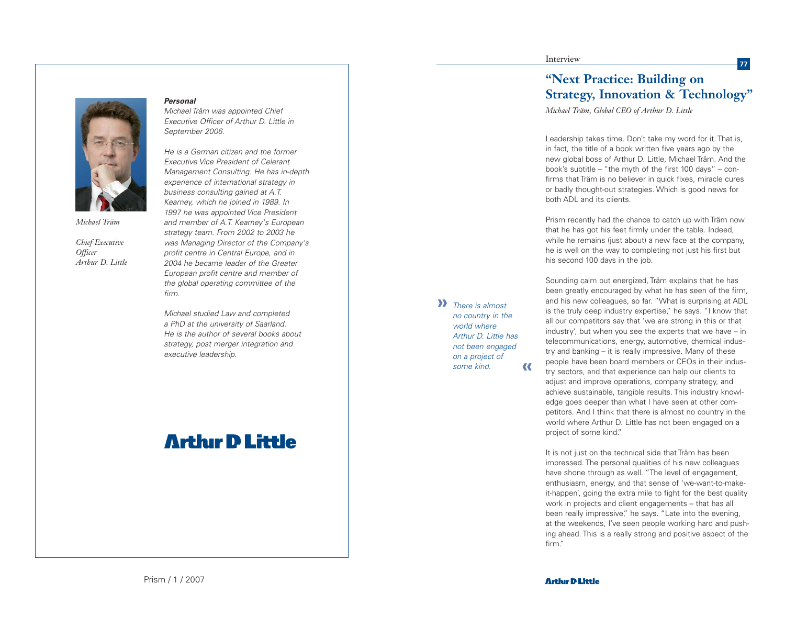

*Michael Träm*

*Chief Executive Officer Arthur D. Little*

## **Personal**

firm.

Michael Träm was appointed Chief Executive Officer of Arthur D. Little in September 2006.

He is a German citizen and the former Executive Vice President of Celerant Management Consulting. He has in-depth experience of international strategy in business consulting gained at A.T. Kearney, which he joined in 1989. In 1997 he was appointed Vice President and member of A.T. Kearney's European strategy team. From 2002 to 2003 he was Managing Director of the Company's profit centre in Central Europe, and in 2004 he became leader of the Greater European profit centre and member of the global operating committee of the

Michael studied Law and completed a PhD at the university of Saarland. He is the author of several books about strategy, post merger integration and executive leadership.

## **Arthur D Little**

## Interview

There is almost **»**

no country in the world where Arthur D. Little has not been engaged on a project of some kind.

**«**

## **"Next Practice: Building on Strategy, Innovation & Technology"**

**77**

*Michael Träm, Global CEO of Arthur D. Little*

Leadership takes time. Don't take my word for it. That is, in fact, the title of a book written five years ago by the new global boss of Arthur D. Little, Michael Träm. And the book's subtitle – "the myth of the first 100 days" – confirms that Träm is no believer in quick fixes, miracle cures or badly thought-out strategies. Which is good news for both ADL and its clients.

Prism recently had the chance to catch up with Träm now that he has got his feet firmly under the table. Indeed, while he remains (just about) a new face at the company, he is well on the way to completing not just his first but his second 100 days in the job.

Sounding calm but energized, Träm explains that he has been greatly encouraged by what he has seen of the firm, and his new colleagues, so far. "What is surprising at ADL is the truly deep industry expertise," he says. "I know that all our competitors say that 'we are strong in this or that industry', but when you see the experts that we have – in telecommunications, energy, automotive, chemical industry and banking – it is really impressive. Many of these people have been board members or CEOs in their industry sectors, and that experience can help our clients to adjust and improve operations, company strategy, and achieve sustainable, tangible results. This industry knowledge goes deeper than what I have seen at other competitors. And I think that there is almost no country in the world where Arthur D. Little has not been engaged on a project of some kind."

It is not just on the technical side that Träm has been impressed. The personal qualities of his new colleagues have shone through as well. "The level of engagement, enthusiasm, energy, and that sense of 'we-want-to-makeit-happen', going the extra mile to fight for the best quality work in projects and client engagements – that has all been really impressive," he says. "Late into the evening, at the weekends, I've seen people working hard and pushing ahead. This is a really strong and positive aspect of the firm."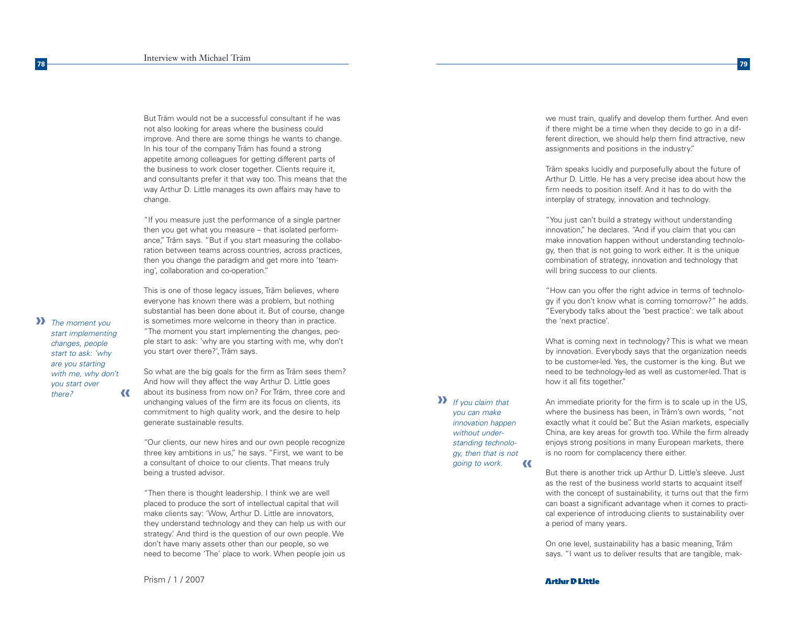But Träm would not be a successful consultant if he was not also looking for areas where the business could improve. And there are some things he wants to change. In his tour of the company Träm has found a strong appetite among colleagues for getting different parts of the business to work closer together. Clients require it, and consultants prefer it that way too. This means that the way Arthur D. Little manages its own affairs may have to change.

"If you measure just the performance of a single partner then you get what you measure – that isolated performance," Träm says. "But if you start measuring the collaboration between teams across countries, across practices, then you change the paradigm and get more into 'teaming', collaboration and co-operation."

This is one of those legacy issues, Träm believes, where everyone has known there was a problem, but nothing substantial has been done about it. But of course, change is sometimes more welcome in theory than in practice. "The moment you start implementing the changes, people start to ask: 'why are you starting with me, why don't you start over there?', Träm says.

So what are the big goals for the firm as Träm sees them? And how will they affect the way Arthur D. Little goes about its business from now on? For Träm, three core and unchanging values of the firm are its focus on clients, its commitment to high quality work, and the desire to help generate sustainable results. **«**

"Our clients, our new hires and our own people recognize three key ambitions in us," he says. "First, we want to be a consultant of choice to our clients. That means truly being a trusted advisor.

"Then there is thought leadership. I think we are well placed to produce the sort of intellectual capital that will make clients say: 'Wow, Arthur D. Little are innovators, they understand technology and they can help us with our strategy.' And third is the question of our own people. We don't have many assets other than our people, so we need to become 'The' place to work. When people join us

If you claim that **»** you can make innovation happen without understanding technology, then that is not going to work. **«** we must train, qualify and develop them further. And even if there might be a time when they decide to go in a different direction, we should help them find attractive, new assignments and positions in the industry."

Träm speaks lucidly and purposefully about the future of Arthur D. Little. He has a very precise idea about how the firm needs to position itself. And it has to do with the interplay of strategy, innovation and technology.

"You just can't build a strategy without understanding innovation," he declares. "And if you claim that you can make innovation happen without understanding technology, then that is not going to work either. It is the unique combination of strategy, innovation and technology that will bring success to our clients.

"How can you offer the right advice in terms of technology if you don't know what is coming tomorrow?" he adds. "Everybody talks about the 'best practice': we talk about the 'next practice'.

What is coming next in technology? This is what we mean by innovation. Everybody says that the organization needs to be customer-led. Yes, the customer is the king. But we need to be technology-led as well as customer-led. That is how it all fits together."

An immediate priority for the firm is to scale up in the US, where the business has been, in Träm's own words, "not exactly what it could be". But the Asian markets, especially China, are key areas for growth too. While the firm already enjoys strong positions in many European markets, there is no room for complacency there either.

But there is another trick up Arthur D. Little's sleeve. Just as the rest of the business world starts to acquaint itself with the concept of sustainability, it turns out that the firm can boast a significant advantage when it comes to practical experience of introducing clients to sustainability over a period of many years.

On one level, sustainability has a basic meaning, Träm says. "I want us to deliver results that are tangible, mak